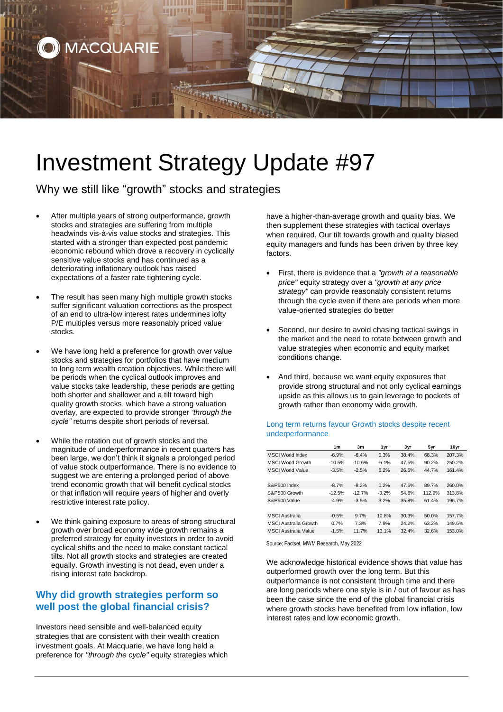

# Investment Strategy Update #97

Why we still like "growth" stocks and strategies

- After multiple years of strong outperformance, growth stocks and strategies are suffering from multiple headwinds vis-à-vis value stocks and strategies. This started with a stronger than expected post pandemic economic rebound which drove a recovery in cyclically sensitive value stocks and has continued as a deteriorating inflationary outlook has raised expectations of a faster rate tightening cycle.
- The result has seen many high multiple growth stocks suffer significant valuation corrections as the prospect of an end to ultra-low interest rates undermines lofty P/E multiples versus more reasonably priced value stocks.
- We have long held a preference for growth over value stocks and strategies for portfolios that have medium to long term wealth creation objectives. While there will be periods when the cyclical outlook improves and value stocks take leadership, these periods are getting both shorter and shallower and a tilt toward high quality growth stocks, which have a strong valuation overlay, are expected to provide stronger *'through the cycle"* returns despite short periods of reversal.
- While the rotation out of growth stocks and the magnitude of underperformance in recent quarters has been large, we don't think it signals a prolonged period of value stock outperformance. There is no evidence to suggest we are entering a prolonged period of above trend economic growth that will benefit cyclical stocks or that inflation will require years of higher and overly restrictive interest rate policy.
- We think gaining exposure to areas of strong structural growth over broad economy wide growth remains a preferred strategy for equity investors in order to avoid cyclical shifts and the need to make constant tactical tilts. Not all growth stocks and strategies are created equally. Growth investing is not dead, even under a rising interest rate backdrop.

# **Why did growth strategies perform so well post the global financial crisis?**

Investors need sensible and well-balanced equity strategies that are consistent with their wealth creation investment goals. At Macquarie, we have long held a preference for *"through the cycle"* equity strategies which have a higher-than-average growth and quality bias. We then supplement these strategies with tactical overlays when required. Our tilt towards growth and quality biased equity managers and funds has been driven by three key factors.

- First, there is evidence that a *"growth at a reasonable price"* equity strategy over a *"growth at any price strategy"* can provide reasonably consistent returns through the cycle even if there are periods when more value-oriented strategies do better
- Second, our desire to avoid chasing tactical swings in the market and the need to rotate between growth and value strategies when economic and equity market conditions change.
- And third, because we want equity exposures that provide strong structural and not only cyclical earnings upside as this allows us to gain leverage to pockets of growth rather than economy wide growth.

### Long term returns favour Growth stocks despite recent underperformance

|                              | 1 <sub>m</sub> | 3m       | 1 yr    | 3yr   | 5yr    | 10yr   |
|------------------------------|----------------|----------|---------|-------|--------|--------|
| <b>MSCI World Index</b>      | $-6.9%$        | $-6.4%$  | 0.3%    | 38.4% | 68.3%  | 207.3% |
| <b>MSCI World Growth</b>     | $-10.5%$       | $-10.6%$ | $-6.1%$ | 47.5% | 90.2%  | 250.2% |
| <b>MSCI World Value</b>      | $-3.5%$        | $-2.5%$  | 6.2%    | 26.5% | 44.7%  | 161.4% |
|                              |                |          |         |       |        |        |
| S&P500 Index                 | $-8.7%$        | $-8.2%$  | 0.2%    | 47.6% | 89.7%  | 260.0% |
| S&P500 Growth                | $-12.5%$       | $-12.7%$ | $-3.2%$ | 54.6% | 112.9% | 313.8% |
| S&P500 Value                 | $-4.9%$        | $-3.5%$  | 3.2%    | 35.8% | 61.4%  | 196.7% |
|                              |                |          |         |       |        |        |
| <b>MSCI</b> Australia        | $-0.5%$        | 9.7%     | 10.8%   | 30.3% | 50.0%  | 157.7% |
| <b>MSCI Australia Growth</b> | 0.7%           | 7.3%     | 7.9%    | 24.2% | 63.2%  | 149.6% |
| <b>MSCI Australia Value</b>  | $-1.5%$        | 11.7%    | 13.1%   | 32.4% | 32.6%  | 153.0% |

Source: Factset, MWM Research, May 2022

We acknowledge historical evidence shows that value has outperformed growth over the long term. But this outperformance is not consistent through time and there are long periods where one style is in / out of favour as has been the case since the end of the global financial crisis where growth stocks have benefited from low inflation, low interest rates and low economic growth.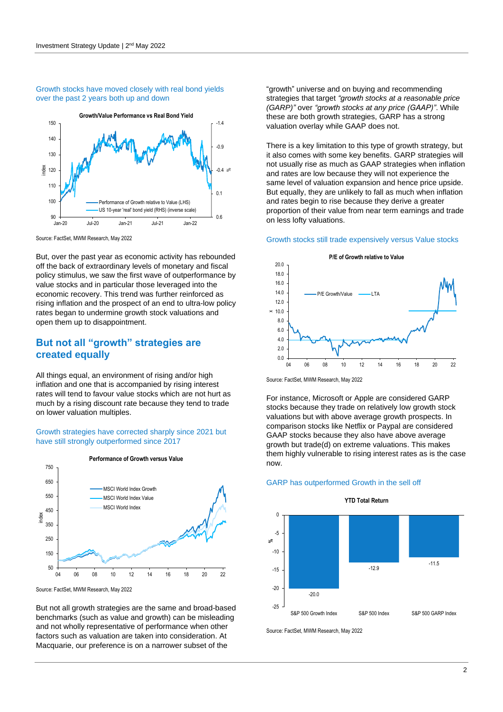#### Growth stocks have moved closely with real bond yields over the past 2 years both up and down



Source: FactSet, MWM Research, May 2022

But, over the past year as economic activity has rebounded off the back of extraordinary levels of monetary and fiscal policy stimulus, we saw the first wave of outperformance by value stocks and in particular those leveraged into the economic recovery. This trend was further reinforced as rising inflation and the prospect of an end to ultra-low policy rates began to undermine growth stock valuations and open them up to disappointment.

## **But not all "growth" strategies are created equally**

All things equal, an environment of rising and/or high inflation and one that is accompanied by rising interest rates will tend to favour value stocks which are not hurt as much by a rising discount rate because they tend to trade on lower valuation multiples.

#### Growth strategies have corrected sharply since 2021 but have still strongly outperformed since 2017



Source: FactSet, MWM Research, May 2022

But not all growth strategies are the same and broad-based benchmarks (such as value and growth) can be misleading and not wholly representative of performance when other factors such as valuation are taken into consideration. At Macquarie, our preference is on a narrower subset of the

"growth" universe and on buying and recommending strategies that target *"growth stocks at a reasonable price (GARP)"* over *"growth stocks at any price (GAAP)"*. While these are both growth strategies, GARP has a strong valuation overlay while GAAP does not.

There is a key limitation to this type of growth strategy, but it also comes with some key benefits. GARP strategies will not usually rise as much as GAAP strategies when inflation and rates are low because they will not experience the same level of valuation expansion and hence price upside. But equally, they are unlikely to fall as much when inflation and rates begin to rise because they derive a greater proportion of their value from near term earnings and trade on less lofty valuations.

#### Growth stocks still trade expensively versus Value stocks



Source: FactSet, MWM Research, May 2022

For instance, Microsoft or Apple are considered GARP stocks because they trade on relatively low growth stock valuations but with above average growth prospects. In comparison stocks like Netflix or Paypal are considered GAAP stocks because they also have above average growth but trade(d) on extreme valuations. This makes them highly vulnerable to rising interest rates as is the case now.

#### GARP has outperformed Growth in the sell off



Source: FactSet, MWM Research, May 2022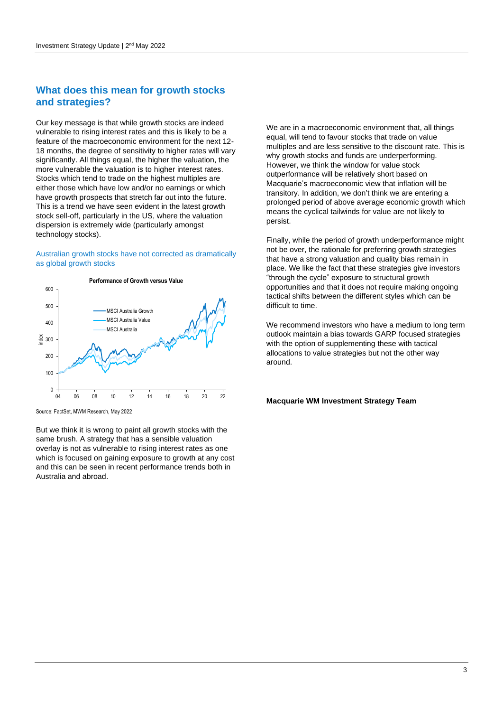## **What does this mean for growth stocks and strategies?**

Our key message is that while growth stocks are indeed vulnerable to rising interest rates and this is likely to be a feature of the macroeconomic environment for the next 12- 18 months, the degree of sensitivity to higher rates will vary significantly. All things equal, the higher the valuation, the more vulnerable the valuation is to higher interest rates. Stocks which tend to trade on the highest multiples are either those which have low and/or no earnings or which have growth prospects that stretch far out into the future. This is a trend we have seen evident in the latest growth stock sell-off, particularly in the US, where the valuation dispersion is extremely wide (particularly amongst technology stocks).

#### Australian growth stocks have not corrected as dramatically as global growth stocks



Source: FactSet, MWM Research, May 2022

But we think it is wrong to paint all growth stocks with the same brush. A strategy that has a sensible valuation overlay is not as vulnerable to rising interest rates as one which is focused on gaining exposure to growth at any cost and this can be seen in recent performance trends both in Australia and abroad.

We are in a macroeconomic environment that, all things equal, will tend to favour stocks that trade on value multiples and are less sensitive to the discount rate. This is why growth stocks and funds are underperforming. However, we think the window for value stock outperformance will be relatively short based on Macquarie's macroeconomic view that inflation will be transitory. In addition, we don't think we are entering a prolonged period of above average economic growth which means the cyclical tailwinds for value are not likely to persist.

Finally, while the period of growth underperformance might not be over, the rationale for preferring growth strategies that have a strong valuation and quality bias remain in place. We like the fact that these strategies give investors "through the cycle" exposure to structural growth opportunities and that it does not require making ongoing tactical shifts between the different styles which can be difficult to time.

We recommend investors who have a medium to long term outlook maintain a bias towards GARP focused strategies with the option of supplementing these with tactical allocations to value strategies but not the other way around.

## **Macquarie WM Investment Strategy Team**